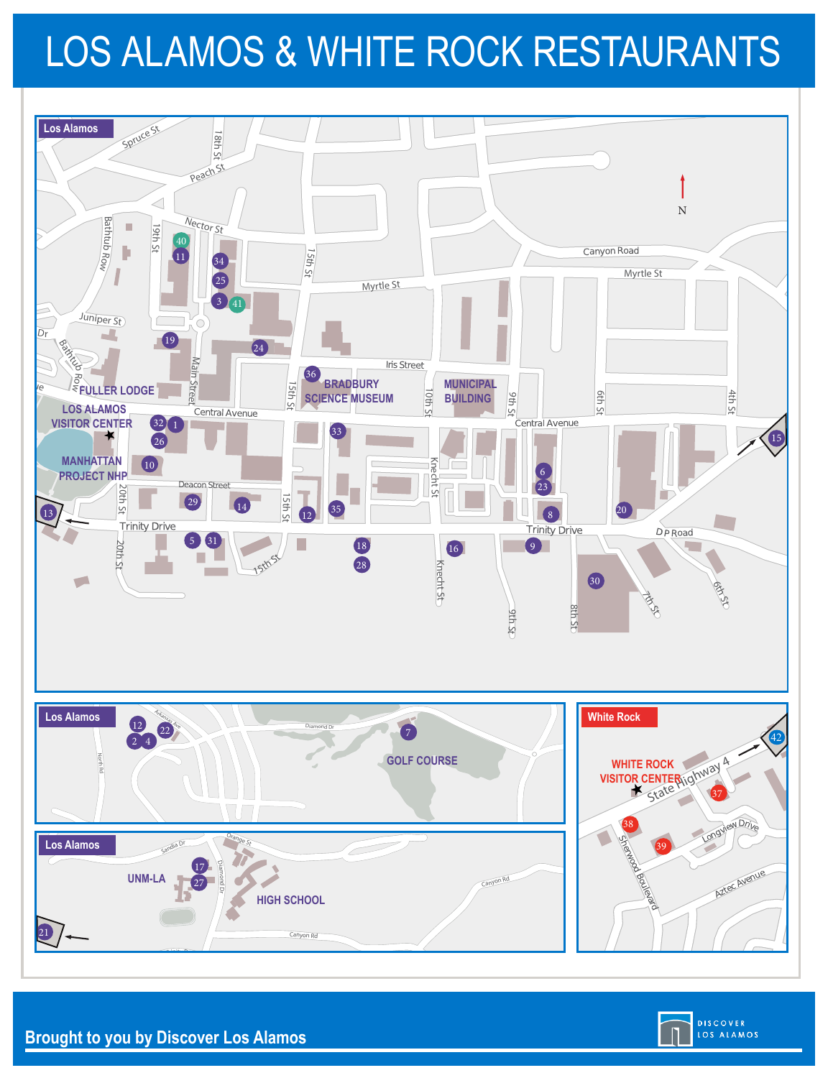# LOS ALAMOS & WHITE ROCK RESTAURANTS





<sup>G</sup><sup>r</sup>an<sup>d</sup> <sup>C</sup><sup>a</sup>nyon Dr

**Brought to you by Discover Los Alamos**

Trinity D<sup>r</sup>